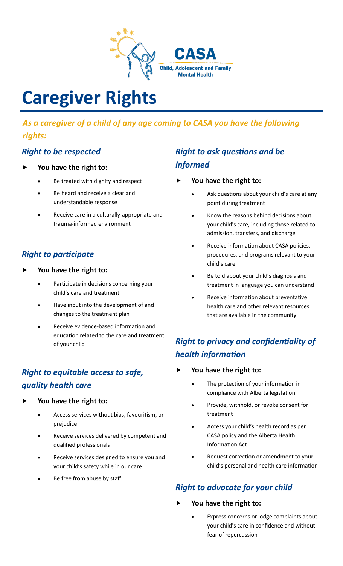

# **Caregiver Rights**

### *As a caregiver of a child of any age coming to CASA you have the following rights:*

### *Right to be respected*

- **You have the right to:**
	- Be treated with dignity and respect
	- Be heard and receive a clear and understandable response
	- Receive care in a culturally-appropriate and trauma-informed environment

### *Right to participate*

- **You have the right to:**
	- Participate in decisions concerning your child's care and treatment
	- Have input into the development of and changes to the treatment plan
	- Receive evidence-based information and education related to the care and treatment of your child

## *Right to equitable access to safe, quality health care*

- **You have the right to:**
	- Access services without bias, favouritism, or prejudice
	- Receive services delivered by competent and qualified professionals
	- Receive services designed to ensure you and your child's safety while in our care
	- Be free from abuse by staff

## *Right to ask questions and be informed*

- **You have the right to:**
	- Ask questions about your child's care at any point during treatment
	- Know the reasons behind decisions about your child's care, including those related to admission, transfers, and discharge
	- Receive information about CASA policies, procedures, and programs relevant to your child's care
	- Be told about your child's diagnosis and treatment in language you can understand
	- Receive information about preventative health care and other relevant resources that are available in the community

## *Right to privacy and confidentiality of health information*

- **You have the right to:**
	- The protection of your information in compliance with Alberta legislation
	- Provide, withhold, or revoke consent for treatment
	- Access your child's health record as per CASA policy and the Alberta Health Information Act
	- Request correction or amendment to your child's personal and health care information

### *Right to advocate for your child*

- **You have the right to:**
	- Express concerns or lodge complaints about your child's care in confidence and without fear of repercussion